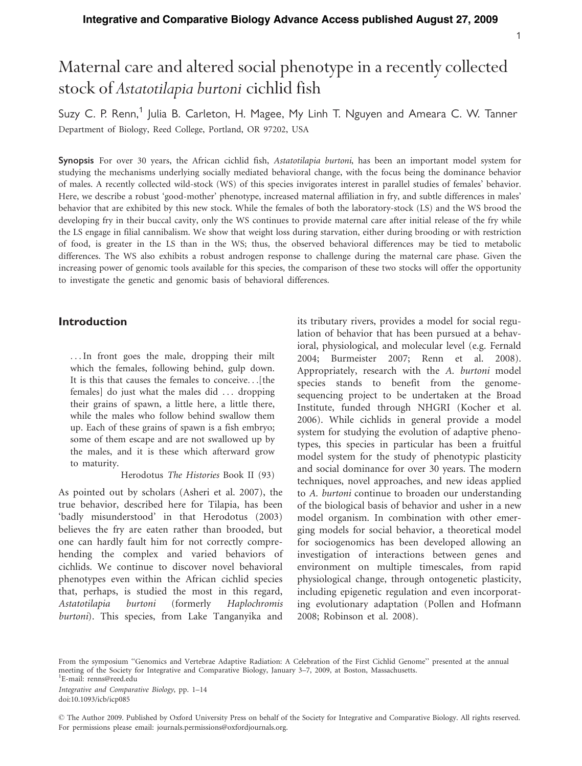# Maternal care and altered social phenotype in a recently collected stock of Astatotilapia burtoni cichlid fish

Suzy C. P. Renn,<sup>1</sup> Julia B. Carleton, H. Magee, My Linh T. Nguyen and Ameara C. W. Tanner Department of Biology, Reed College, Portland, OR 97202, USA

Synopsis For over 30 years, the African cichlid fish, Astatotilapia burtoni, has been an important model system for studying the mechanisms underlying socially mediated behavioral change, with the focus being the dominance behavior of males. A recently collected wild-stock (WS) of this species invigorates interest in parallel studies of females' behavior. Here, we describe a robust 'good-mother' phenotype, increased maternal affiliation in fry, and subtle differences in males' behavior that are exhibited by this new stock. While the females of both the laboratory-stock (LS) and the WS brood the developing fry in their buccal cavity, only the WS continues to provide maternal care after initial release of the fry while the LS engage in filial cannibalism. We show that weight loss during starvation, either during brooding or with restriction of food, is greater in the LS than in the WS; thus, the observed behavioral differences may be tied to metabolic differences. The WS also exhibits a robust androgen response to challenge during the maternal care phase. Given the increasing power of genomic tools available for this species, the comparison of these two stocks will offer the opportunity to investigate the genetic and genomic basis of behavioral differences.

#### Introduction

. . . In front goes the male, dropping their milt which the females, following behind, gulp down. It is this that causes the females to conceive. . .[the females] do just what the males did . . . dropping their grains of spawn, a little here, a little there, while the males who follow behind swallow them up. Each of these grains of spawn is a fish embryo; some of them escape and are not swallowed up by the males, and it is these which afterward grow to maturity.

Herodotus The Histories Book II (93)

As pointed out by scholars (Asheri et al. 2007), the true behavior, described here for Tilapia, has been 'badly misunderstood' in that Herodotus (2003) believes the fry are eaten rather than brooded, but one can hardly fault him for not correctly comprehending the complex and varied behaviors of cichlids. We continue to discover novel behavioral phenotypes even within the African cichlid species that, perhaps, is studied the most in this regard, Astatotilapia burtoni (formerly Haplochromis burtoni). This species, from Lake Tanganyika and

its tributary rivers, provides a model for social regulation of behavior that has been pursued at a behavioral, physiological, and molecular level (e.g. Fernald 2004; Burmeister 2007; Renn et al. 2008). Appropriately, research with the A. burtoni model species stands to benefit from the genomesequencing project to be undertaken at the Broad Institute, funded through NHGRI (Kocher et al. 2006). While cichlids in general provide a model system for studying the evolution of adaptive phenotypes, this species in particular has been a fruitful model system for the study of phenotypic plasticity and social dominance for over 30 years. The modern techniques, novel approaches, and new ideas applied to A. burtoni continue to broaden our understanding of the biological basis of behavior and usher in a new model organism. In combination with other emerging models for social behavior, a theoretical model for sociogenomics has been developed allowing an investigation of interactions between genes and environment on multiple timescales, from rapid physiological change, through ontogenetic plasticity, including epigenetic regulation and even incorporating evolutionary adaptation (Pollen and Hofmann 2008; Robinson et al. 2008).

Integrative and Comparative Biology, pp. 1–14

doi:10.1093/icb/icp085

<sup>&</sup>lt;sup>1</sup>E-mail: renns@reed.edu From the symposium ''Genomics and Vertebrae Adaptive Radiation: A Celebration of the First Cichlid Genome'' presented at the annual meeting of the Society for Integrative and Comparative Biology, January 3–7, 2009, at Boston, Massachusetts.

<sup>!</sup> The Author 2009. Published by Oxford University Press on behalf of the Society for Integrative and Comparative Biology. All rights reserved. For permissions please email: journals.permissions@oxfordjournals.org.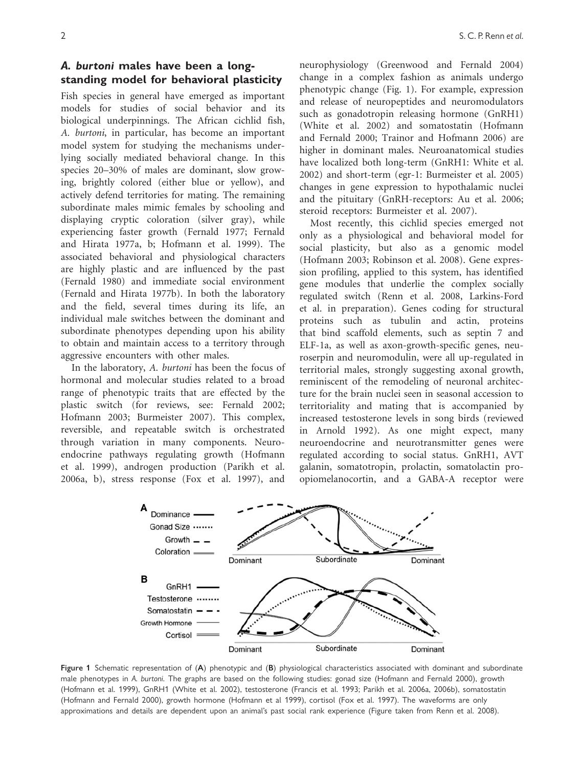## A. burtoni males have been a longstanding model for behavioral plasticity

Fish species in general have emerged as important models for studies of social behavior and its biological underpinnings. The African cichlid fish, A. burtoni, in particular, has become an important model system for studying the mechanisms underlying socially mediated behavioral change. In this species 20–30% of males are dominant, slow growing, brightly colored (either blue or yellow), and actively defend territories for mating. The remaining subordinate males mimic females by schooling and displaying cryptic coloration (silver gray), while experiencing faster growth (Fernald 1977; Fernald and Hirata 1977a, b; Hofmann et al. 1999). The associated behavioral and physiological characters are highly plastic and are influenced by the past (Fernald 1980) and immediate social environment (Fernald and Hirata 1977b). In both the laboratory and the field, several times during its life, an individual male switches between the dominant and subordinate phenotypes depending upon his ability to obtain and maintain access to a territory through aggressive encounters with other males.

In the laboratory, A. burtoni has been the focus of hormonal and molecular studies related to a broad range of phenotypic traits that are effected by the plastic switch (for reviews, see: Fernald 2002; Hofmann 2003; Burmeister 2007). This complex, reversible, and repeatable switch is orchestrated through variation in many components. Neuroendocrine pathways regulating growth (Hofmann et al. 1999), androgen production (Parikh et al. 2006a, b), stress response (Fox et al. 1997), and

neurophysiology (Greenwood and Fernald 2004) change in a complex fashion as animals undergo phenotypic change (Fig. 1). For example, expression and release of neuropeptides and neuromodulators such as gonadotropin releasing hormone (GnRH1) (White et al. 2002) and somatostatin (Hofmann and Fernald 2000; Trainor and Hofmann 2006) are higher in dominant males. Neuroanatomical studies have localized both long-term (GnRH1: White et al. 2002) and short-term (egr-1: Burmeister et al. 2005) changes in gene expression to hypothalamic nuclei and the pituitary (GnRH-receptors: Au et al. 2006; steroid receptors: Burmeister et al. 2007).

Most recently, this cichlid species emerged not only as a physiological and behavioral model for social plasticity, but also as a genomic model (Hofmann 2003; Robinson et al. 2008). Gene expression profiling, applied to this system, has identified gene modules that underlie the complex socially regulated switch (Renn et al. 2008, Larkins-Ford et al. in preparation). Genes coding for structural proteins such as tubulin and actin, proteins that bind scaffold elements, such as septin 7 and ELF-1a, as well as axon-growth-specific genes, neuroserpin and neuromodulin, were all up-regulated in territorial males, strongly suggesting axonal growth, reminiscent of the remodeling of neuronal architecture for the brain nuclei seen in seasonal accession to territoriality and mating that is accompanied by increased testosterone levels in song birds (reviewed in Arnold 1992). As one might expect, many neuroendocrine and neurotransmitter genes were regulated according to social status. GnRH1, AVT galanin, somatotropin, prolactin, somatolactin proopiomelanocortin, and a GABA-A receptor were



Figure 1 Schematic representation of (A) phenotypic and (B) physiological characteristics associated with dominant and subordinate male phenotypes in A. burtoni. The graphs are based on the following studies: gonad size (Hofmann and Fernald 2000), growth (Hofmann et al. 1999), GnRH1 (White et al. 2002), testosterone (Francis et al. 1993; Parikh et al. 2006a, 2006b), somatostatin (Hofmann and Fernald 2000), growth hormone (Hofmann et al 1999), cortisol (Fox et al. 1997). The waveforms are only approximations and details are dependent upon an animal's past social rank experience (Figure taken from Renn et al. 2008).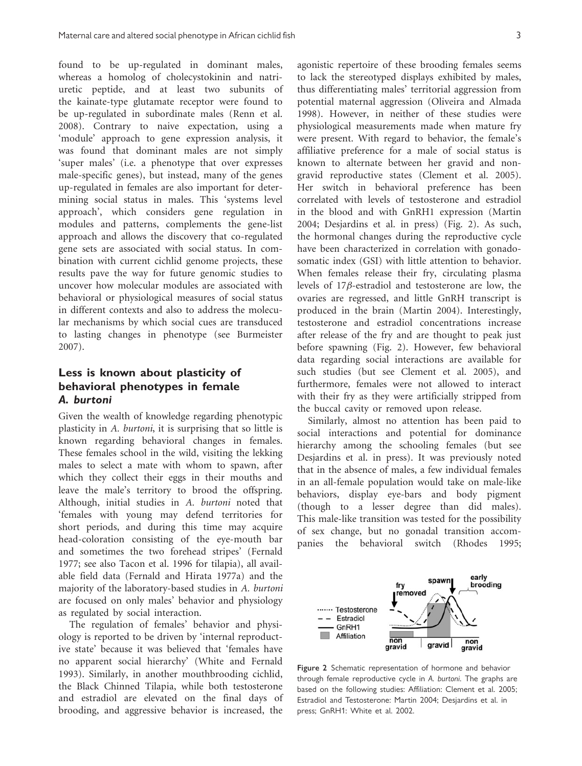found to be up-regulated in dominant males, whereas a homolog of cholecystokinin and natriuretic peptide, and at least two subunits of the kainate-type glutamate receptor were found to be up-regulated in subordinate males (Renn et al. 2008). Contrary to naive expectation, using a 'module' approach to gene expression analysis, it was found that dominant males are not simply 'super males' (i.e. a phenotype that over expresses male-specific genes), but instead, many of the genes up-regulated in females are also important for determining social status in males. This 'systems level approach', which considers gene regulation in modules and patterns, complements the gene-list approach and allows the discovery that co-regulated gene sets are associated with social status. In combination with current cichlid genome projects, these results pave the way for future genomic studies to uncover how molecular modules are associated with behavioral or physiological measures of social status in different contexts and also to address the molecular mechanisms by which social cues are transduced to lasting changes in phenotype (see Burmeister 2007).

# Less is known about plasticity of behavioral phenotypes in female A. burtoni

Given the wealth of knowledge regarding phenotypic plasticity in A. burtoni, it is surprising that so little is known regarding behavioral changes in females. These females school in the wild, visiting the lekking males to select a mate with whom to spawn, after which they collect their eggs in their mouths and leave the male's territory to brood the offspring. Although, initial studies in A. burtoni noted that 'females with young may defend territories for short periods, and during this time may acquire head-coloration consisting of the eye-mouth bar and sometimes the two forehead stripes' (Fernald 1977; see also Tacon et al. 1996 for tilapia), all available field data (Fernald and Hirata 1977a) and the majority of the laboratory-based studies in A. burtoni are focused on only males' behavior and physiology as regulated by social interaction.

The regulation of females' behavior and physiology is reported to be driven by 'internal reproductive state' because it was believed that 'females have no apparent social hierarchy' (White and Fernald 1993). Similarly, in another mouthbrooding cichlid, the Black Chinned Tilapia, while both testosterone and estradiol are elevated on the final days of brooding, and aggressive behavior is increased, the

agonistic repertoire of these brooding females seems to lack the stereotyped displays exhibited by males, thus differentiating males' territorial aggression from potential maternal aggression (Oliveira and Almada 1998). However, in neither of these studies were physiological measurements made when mature fry were present. With regard to behavior, the female's affiliative preference for a male of social status is known to alternate between her gravid and nongravid reproductive states (Clement et al. 2005). Her switch in behavioral preference has been correlated with levels of testosterone and estradiol in the blood and with GnRH1 expression (Martin 2004; Desjardins et al. in press) (Fig. 2). As such, the hormonal changes during the reproductive cycle have been characterized in correlation with gonadosomatic index (GSI) with little attention to behavior. When females release their fry, circulating plasma levels of  $17\beta$ -estradiol and testosterone are low, the ovaries are regressed, and little GnRH transcript is produced in the brain (Martin 2004). Interestingly, testosterone and estradiol concentrations increase after release of the fry and are thought to peak just before spawning (Fig. 2). However, few behavioral data regarding social interactions are available for such studies (but see Clement et al. 2005), and furthermore, females were not allowed to interact with their fry as they were artificially stripped from the buccal cavity or removed upon release.

Similarly, almost no attention has been paid to social interactions and potential for dominance hierarchy among the schooling females (but see Desjardins et al. in press). It was previously noted that in the absence of males, a few individual females in an all-female population would take on male-like behaviors, display eye-bars and body pigment (though to a lesser degree than did males). This male-like transition was tested for the possibility of sex change, but no gonadal transition accompanies the behavioral switch (Rhodes 1995;



Figure 2 Schematic representation of hormone and behavior through female reproductive cycle in A. burtoni. The graphs are based on the following studies: Affiliation: Clement et al. 2005; Estradiol and Testosterone: Martin 2004; Desjardins et al. in press; GnRH1: White et al. 2002.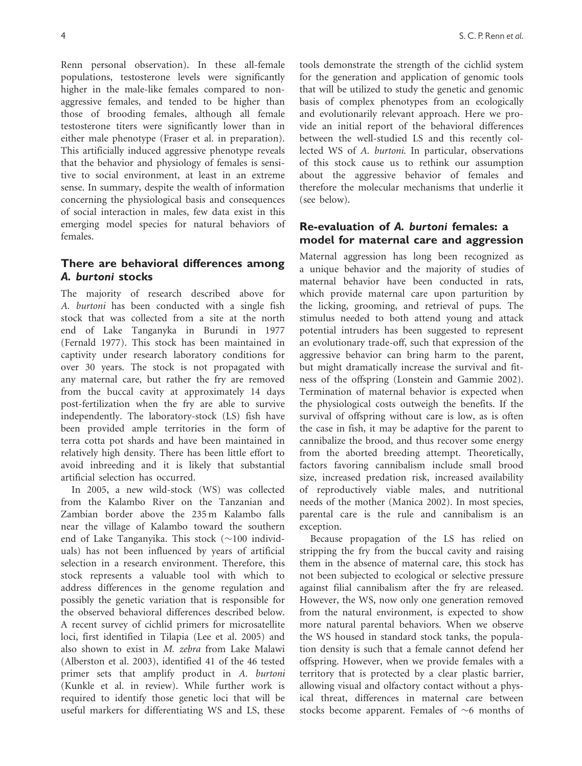Renn personal observation). In these all-female populations, testosterone levels were significantly higher in the male-like females compared to nonaggressive females, and tended to be higher than those of brooding females, although all female testosterone titers were significantly lower than in either male phenotype (Fraser et al. in preparation). This artificially induced aggressive phenotype reveals that the behavior and physiology of females is sensitive to social environment, at least in an extreme sense. In summary, despite the wealth of information concerning the physiological basis and consequences of social interaction in males, few data exist in this emerging model species for natural behaviors of females.

# There are behavioral differences among A. burtoni stocks

The majority of research described above for A. burtoni has been conducted with a single fish stock that was collected from a site at the north end of Lake Tanganyka in Burundi in 1977 (Fernald 1977). This stock has been maintained in captivity under research laboratory conditions for over 30 years. The stock is not propagated with any maternal care, but rather the fry are removed from the buccal cavity at approximately 14 days post-fertilization when the fry are able to survive independently. The laboratory-stock (LS) fish have been provided ample territories in the form of terra cotta pot shards and have been maintained in relatively high density. There has been little effort to avoid inbreeding and it is likely that substantial artificial selection has occurred.

In 2005, a new wild-stock (WS) was collected from the Kalambo River on the Tanzanian and Zambian border above the 235 m Kalambo falls near the village of Kalambo toward the southern end of Lake Tanganyika. This stock  $(\sim]100$  individuals) has not been influenced by years of artificial selection in a research environment. Therefore, this stock represents a valuable tool with which to address differences in the genome regulation and possibly the genetic variation that is responsible for the observed behavioral differences described below. A recent survey of cichlid primers for microsatellite loci, first identified in Tilapia (Lee et al. 2005) and also shown to exist in M. zebra from Lake Malawi (Alberston et al. 2003), identified 41 of the 46 tested primer sets that amplify product in A. burtoni (Kunkle et al. in review). While further work is required to identify those genetic loci that will be useful markers for differentiating WS and LS, these

tools demonstrate the strength of the cichlid system for the generation and application of genomic tools that will be utilized to study the genetic and genomic basis of complex phenotypes from an ecologically and evolutionarily relevant approach. Here we provide an initial report of the behavioral differences between the well-studied LS and this recently collected WS of A. burtoni. In particular, observations of this stock cause us to rethink our assumption about the aggressive behavior of females and therefore the molecular mechanisms that underlie it (see below).

# Re-evaluation of A. burtoni females: a model for maternal care and aggression

Maternal aggression has long been recognized as a unique behavior and the majority of studies of maternal behavior have been conducted in rats, which provide maternal care upon parturition by the licking, grooming, and retrieval of pups. The stimulus needed to both attend young and attack potential intruders has been suggested to represent an evolutionary trade-off, such that expression of the aggressive behavior can bring harm to the parent, but might dramatically increase the survival and fitness of the offspring (Lonstein and Gammie 2002). Termination of maternal behavior is expected when the physiological costs outweigh the benefits. If the survival of offspring without care is low, as is often the case in fish, it may be adaptive for the parent to cannibalize the brood, and thus recover some energy from the aborted breeding attempt. Theoretically, factors favoring cannibalism include small brood size, increased predation risk, increased availability of reproductively viable males, and nutritional needs of the mother (Manica 2002). In most species, parental care is the rule and cannibalism is an exception.

Because propagation of the LS has relied on stripping the fry from the buccal cavity and raising them in the absence of maternal care, this stock has not been subjected to ecological or selective pressure against filial cannibalism after the fry are released. However, the WS, now only one generation removed from the natural environment, is expected to show more natural parental behaviors. When we observe the WS housed in standard stock tanks, the population density is such that a female cannot defend her offspring. However, when we provide females with a territory that is protected by a clear plastic barrier, allowing visual and olfactory contact without a physical threat, differences in maternal care between stocks become apparent. Females of  $~6$  months of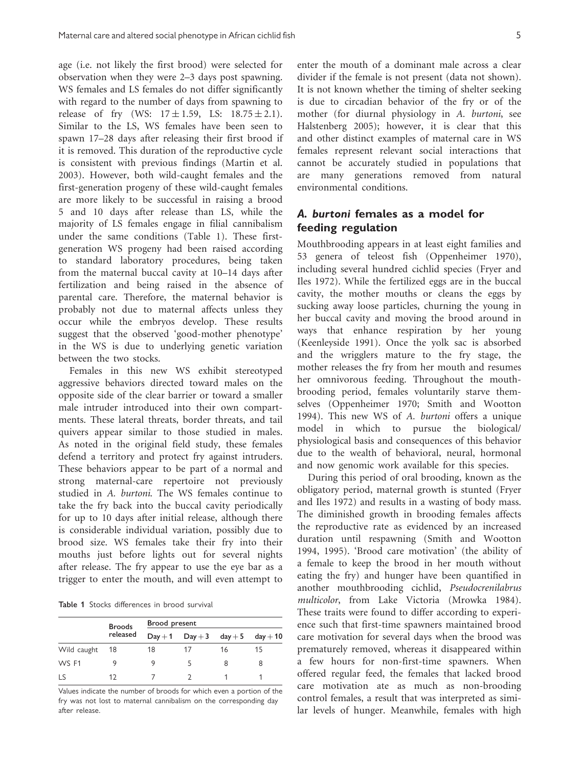age (i.e. not likely the first brood) were selected for observation when they were 2–3 days post spawning. WS females and LS females do not differ significantly with regard to the number of days from spawning to release of fry (WS:  $17 \pm 1.59$ , LS:  $18.75 \pm 2.1$ ). Similar to the LS, WS females have been seen to spawn 17–28 days after releasing their first brood if it is removed. This duration of the reproductive cycle is consistent with previous findings (Martin et al. 2003). However, both wild-caught females and the first-generation progeny of these wild-caught females are more likely to be successful in raising a brood 5 and 10 days after release than LS, while the majority of LS females engage in filial cannibalism under the same conditions (Table 1). These firstgeneration WS progeny had been raised according to standard laboratory procedures, being taken from the maternal buccal cavity at 10–14 days after fertilization and being raised in the absence of parental care. Therefore, the maternal behavior is probably not due to maternal affects unless they occur while the embryos develop. These results suggest that the observed 'good-mother phenotype' in the WS is due to underlying genetic variation between the two stocks.

Females in this new WS exhibit stereotyped aggressive behaviors directed toward males on the opposite side of the clear barrier or toward a smaller male intruder introduced into their own compartments. These lateral threats, border threats, and tail quivers appear similar to those studied in males. As noted in the original field study, these females defend a territory and protect fry against intruders. These behaviors appear to be part of a normal and strong maternal-care repertoire not previously studied in A. burtoni. The WS females continue to take the fry back into the buccal cavity periodically for up to 10 days after initial release, although there is considerable individual variation, possibly due to brood size. WS females take their fry into their mouths just before lights out for several nights after release. The fry appear to use the eye bar as a trigger to enter the mouth, and will even attempt to

Table 1 Stocks differences in brood survival

|                  | <b>Broods</b><br>released | Brood present |                                          |    |    |
|------------------|---------------------------|---------------|------------------------------------------|----|----|
|                  |                           |               | $Day + 1$ $Day + 3$ $day + 5$ $day + 10$ |    |    |
| Wild caught 18   |                           | 18            |                                          | 16 | 15 |
| WS F1            |                           |               |                                          |    |    |
| $\overline{1}$ S | 17                        |               |                                          |    |    |

Values indicate the number of broods for which even a portion of the fry was not lost to maternal cannibalism on the corresponding day after release.

enter the mouth of a dominant male across a clear divider if the female is not present (data not shown). It is not known whether the timing of shelter seeking is due to circadian behavior of the fry or of the mother (for diurnal physiology in A. burtoni, see Halstenberg 2005); however, it is clear that this and other distinct examples of maternal care in WS females represent relevant social interactions that cannot be accurately studied in populations that are many generations removed from natural environmental conditions.

# A. burtoni females as a model for feeding regulation

Mouthbrooding appears in at least eight families and 53 genera of teleost fish (Oppenheimer 1970), including several hundred cichlid species (Fryer and Iles 1972). While the fertilized eggs are in the buccal cavity, the mother mouths or cleans the eggs by sucking away loose particles, churning the young in her buccal cavity and moving the brood around in ways that enhance respiration by her young (Keenleyside 1991). Once the yolk sac is absorbed and the wrigglers mature to the fry stage, the mother releases the fry from her mouth and resumes her omnivorous feeding. Throughout the mouthbrooding period, females voluntarily starve themselves (Oppenheimer 1970; Smith and Wootton 1994). This new WS of A. burtoni offers a unique model in which to pursue the biological/ physiological basis and consequences of this behavior due to the wealth of behavioral, neural, hormonal and now genomic work available for this species.

During this period of oral brooding, known as the obligatory period, maternal growth is stunted (Fryer and Iles 1972) and results in a wasting of body mass. The diminished growth in brooding females affects the reproductive rate as evidenced by an increased duration until respawning (Smith and Wootton 1994, 1995). 'Brood care motivation' (the ability of a female to keep the brood in her mouth without eating the fry) and hunger have been quantified in another mouthbrooding cichlid, Pseudocrenilabrus multicolor, from Lake Victoria (Mrowka 1984). These traits were found to differ according to experience such that first-time spawners maintained brood care motivation for several days when the brood was prematurely removed, whereas it disappeared within a few hours for non-first-time spawners. When offered regular feed, the females that lacked brood care motivation ate as much as non-brooding control females, a result that was interpreted as similar levels of hunger. Meanwhile, females with high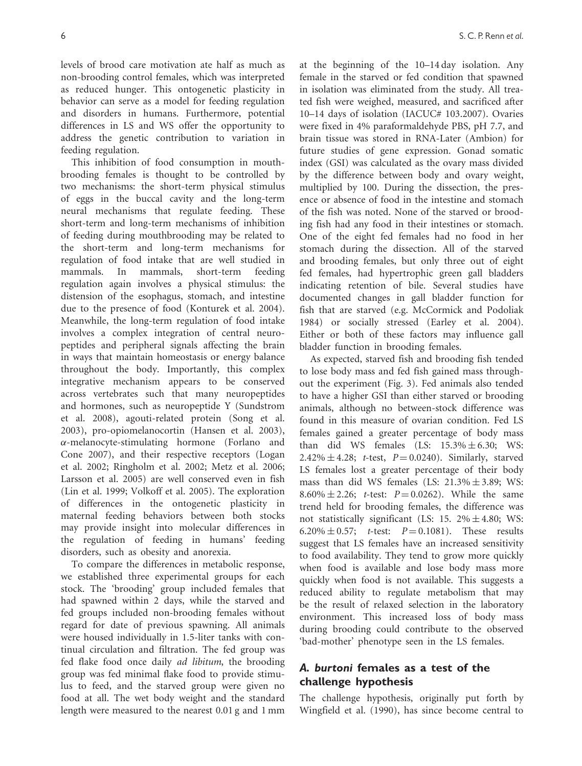levels of brood care motivation ate half as much as non-brooding control females, which was interpreted as reduced hunger. This ontogenetic plasticity in behavior can serve as a model for feeding regulation and disorders in humans. Furthermore, potential differences in LS and WS offer the opportunity to address the genetic contribution to variation in feeding regulation.

This inhibition of food consumption in mouthbrooding females is thought to be controlled by two mechanisms: the short-term physical stimulus of eggs in the buccal cavity and the long-term neural mechanisms that regulate feeding. These short-term and long-term mechanisms of inhibition of feeding during mouthbrooding may be related to the short-term and long-term mechanisms for regulation of food intake that are well studied in mammals. In mammals, short-term feeding regulation again involves a physical stimulus: the distension of the esophagus, stomach, and intestine due to the presence of food (Konturek et al. 2004). Meanwhile, the long-term regulation of food intake involves a complex integration of central neuropeptides and peripheral signals affecting the brain in ways that maintain homeostasis or energy balance throughout the body. Importantly, this complex integrative mechanism appears to be conserved across vertebrates such that many neuropeptides and hormones, such as neuropeptide Y (Sundstrom et al. 2008), agouti-related protein (Song et al. 2003), pro-opiomelanocortin (Hansen et al. 2003),  $\alpha$ -melanocyte-stimulating hormone (Forlano and Cone 2007), and their respective receptors (Logan et al. 2002; Ringholm et al. 2002; Metz et al. 2006; Larsson et al. 2005) are well conserved even in fish (Lin et al. 1999; Volkoff et al. 2005). The exploration of differences in the ontogenetic plasticity in maternal feeding behaviors between both stocks may provide insight into molecular differences in the regulation of feeding in humans' feeding disorders, such as obesity and anorexia.

To compare the differences in metabolic response, we established three experimental groups for each stock. The 'brooding' group included females that had spawned within 2 days, while the starved and fed groups included non-brooding females without regard for date of previous spawning. All animals were housed individually in 1.5-liter tanks with continual circulation and filtration. The fed group was fed flake food once daily ad libitum, the brooding group was fed minimal flake food to provide stimulus to feed, and the starved group were given no food at all. The wet body weight and the standard length were measured to the nearest 0.01 g and 1 mm

at the beginning of the 10–14 day isolation. Any female in the starved or fed condition that spawned in isolation was eliminated from the study. All treated fish were weighed, measured, and sacrificed after 10–14 days of isolation (IACUC# 103.2007). Ovaries were fixed in 4% paraformaldehyde PBS, pH 7.7, and brain tissue was stored in RNA-Later (Ambion) for future studies of gene expression. Gonad somatic index (GSI) was calculated as the ovary mass divided by the difference between body and ovary weight, multiplied by 100. During the dissection, the presence or absence of food in the intestine and stomach of the fish was noted. None of the starved or brooding fish had any food in their intestines or stomach. One of the eight fed females had no food in her stomach during the dissection. All of the starved and brooding females, but only three out of eight fed females, had hypertrophic green gall bladders indicating retention of bile. Several studies have documented changes in gall bladder function for fish that are starved (e.g. McCormick and Podoliak 1984) or socially stressed (Earley et al. 2004). Either or both of these factors may influence gall bladder function in brooding females.

As expected, starved fish and brooding fish tended to lose body mass and fed fish gained mass throughout the experiment (Fig. 3). Fed animals also tended to have a higher GSI than either starved or brooding animals, although no between-stock difference was found in this measure of ovarian condition. Fed LS females gained a greater percentage of body mass than did WS females (LS:  $15.3\% \pm 6.30$ ; WS: 2.42%  $\pm$  4.28; t-test,  $P = 0.0240$ ). Similarly, starved LS females lost a greater percentage of their body mass than did WS females (LS:  $21.3\% \pm 3.89$ ; WS: 8.60%  $\pm$  2.26; t-test: P = 0.0262). While the same trend held for brooding females, the difference was not statistically significant (LS: 15.  $2\% \pm 4.80$ ; WS: 6.20%  $\pm$  0.57; t-test:  $P = 0.1081$ ). These results suggest that LS females have an increased sensitivity to food availability. They tend to grow more quickly when food is available and lose body mass more quickly when food is not available. This suggests a reduced ability to regulate metabolism that may be the result of relaxed selection in the laboratory environment. This increased loss of body mass during brooding could contribute to the observed 'bad-mother' phenotype seen in the LS females.

## A. burtoni females as a test of the challenge hypothesis

The challenge hypothesis, originally put forth by Wingfield et al. (1990), has since become central to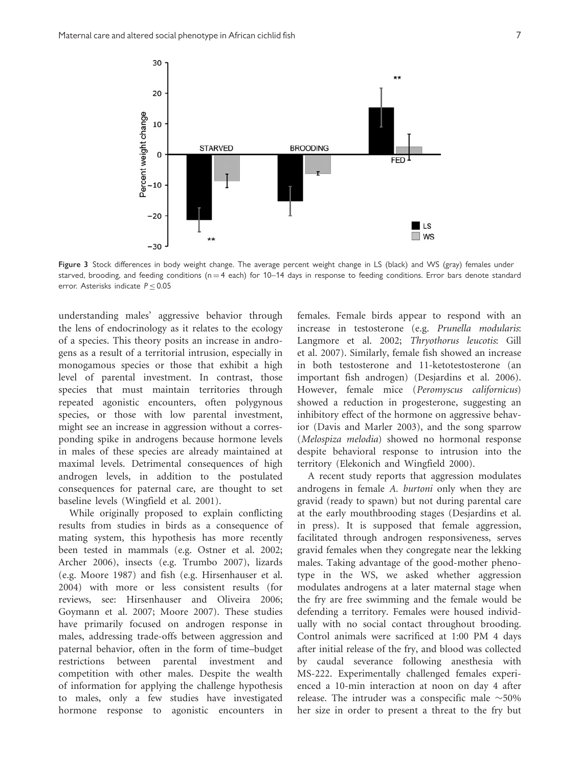

Figure 3 Stock differences in body weight change. The average percent weight change in LS (black) and WS (gray) females under starved, brooding, and feeding conditions ( $n = 4$  each) for 10–14 days in response to feeding conditions. Error bars denote standard error. Asterisks indicate  $P \le 0.05$ 

understanding males' aggressive behavior through the lens of endocrinology as it relates to the ecology of a species. This theory posits an increase in androgens as a result of a territorial intrusion, especially in monogamous species or those that exhibit a high level of parental investment. In contrast, those species that must maintain territories through repeated agonistic encounters, often polygynous species, or those with low parental investment, might see an increase in aggression without a corresponding spike in androgens because hormone levels in males of these species are already maintained at maximal levels. Detrimental consequences of high androgen levels, in addition to the postulated consequences for paternal care, are thought to set baseline levels (Wingfield et al. 2001).

While originally proposed to explain conflicting results from studies in birds as a consequence of mating system, this hypothesis has more recently been tested in mammals (e.g. Ostner et al. 2002; Archer 2006), insects (e.g. Trumbo 2007), lizards (e.g. Moore 1987) and fish (e.g. Hirsenhauser et al. 2004) with more or less consistent results (for reviews, see: Hirsenhauser and Oliveira 2006; Goymann et al. 2007; Moore 2007). These studies have primarily focused on androgen response in males, addressing trade-offs between aggression and paternal behavior, often in the form of time–budget restrictions between parental investment and competition with other males. Despite the wealth of information for applying the challenge hypothesis to males, only a few studies have investigated hormone response to agonistic encounters in

females. Female birds appear to respond with an increase in testosterone (e.g. Prunella modularis: Langmore et al. 2002; Thryothorus leucotis: Gill et al. 2007). Similarly, female fish showed an increase in both testosterone and 11-ketotestosterone (an important fish androgen) (Desjardins et al. 2006). However, female mice (Peromyscus californicus) showed a reduction in progesterone, suggesting an inhibitory effect of the hormone on aggressive behavior (Davis and Marler 2003), and the song sparrow (Melospiza melodia) showed no hormonal response despite behavioral response to intrusion into the territory (Elekonich and Wingfield 2000).

A recent study reports that aggression modulates androgens in female A. burtoni only when they are gravid (ready to spawn) but not during parental care at the early mouthbrooding stages (Desjardins et al. in press). It is supposed that female aggression, facilitated through androgen responsiveness, serves gravid females when they congregate near the lekking males. Taking advantage of the good-mother phenotype in the WS, we asked whether aggression modulates androgens at a later maternal stage when the fry are free swimming and the female would be defending a territory. Females were housed individually with no social contact throughout brooding. Control animals were sacrificed at 1:00 PM 4 days after initial release of the fry, and blood was collected by caudal severance following anesthesia with MS-222. Experimentally challenged females experienced a 10-min interaction at noon on day 4 after release. The intruder was a conspecific male  $~150\%$ her size in order to present a threat to the fry but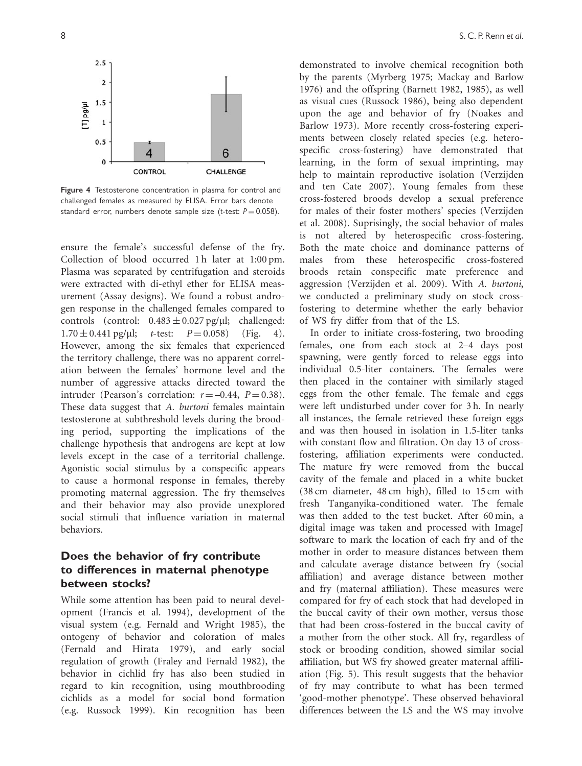



Figure 4 Testosterone concentration in plasma for control and challenged females as measured by ELISA. Error bars denote standard error, numbers denote sample size (t-test:  $P = 0.058$ ).

ensure the female's successful defense of the fry. Collection of blood occurred 1 h later at 1:00 pm. Plasma was separated by centrifugation and steroids were extracted with di-ethyl ether for ELISA measurement (Assay designs). We found a robust androgen response in the challenged females compared to controls (control:  $0.483 \pm 0.027$  pg/ $\mu$ l; challenged:<br>1.70  $\pm$  0.441 pg/ $\mu$ l; *t*-test: *P* = 0.058) (Fig. 4). *t*-test:  $P = 0.058$ ) However, among the six females that experienced the territory challenge, there was no apparent correlation between the females' hormone level and the number of aggressive attacks directed toward the intruder (Pearson's correlation:  $r = -0.44$ ,  $P = 0.38$ ). These data suggest that A. burtoni females maintain testosterone at subthreshold levels during the brooding period, supporting the implications of the challenge hypothesis that androgens are kept at low levels except in the case of a territorial challenge. Agonistic social stimulus by a conspecific appears to cause a hormonal response in females, thereby promoting maternal aggression. The fry themselves and their behavior may also provide unexplored social stimuli that influence variation in maternal behaviors.

# Does the behavior of fry contribute to differences in maternal phenotype between stocks?

While some attention has been paid to neural development (Francis et al. 1994), development of the visual system (e.g. Fernald and Wright 1985), the ontogeny of behavior and coloration of males (Fernald and Hirata 1979), and early social regulation of growth (Fraley and Fernald 1982), the behavior in cichlid fry has also been studied in regard to kin recognition, using mouthbrooding cichlids as a model for social bond formation (e.g. Russock 1999). Kin recognition has been

demonstrated to involve chemical recognition both by the parents (Myrberg 1975; Mackay and Barlow 1976) and the offspring (Barnett 1982, 1985), as well as visual cues (Russock 1986), being also dependent upon the age and behavior of fry (Noakes and Barlow 1973). More recently cross-fostering experiments between closely related species (e.g. heterospecific cross-fostering) have demonstrated that learning, in the form of sexual imprinting, may help to maintain reproductive isolation (Verzijden and ten Cate 2007). Young females from these cross-fostered broods develop a sexual preference for males of their foster mothers' species (Verzijden et al. 2008). Suprisingly, the social behavior of males is not altered by heterospecific cross-fostering. Both the mate choice and dominance patterns of males from these heterospecific cross-fostered broods retain conspecific mate preference and aggression (Verzijden et al. 2009). With A. burtoni, we conducted a preliminary study on stock crossfostering to determine whether the early behavior of WS fry differ from that of the LS.

In order to initiate cross-fostering, two brooding females, one from each stock at 2–4 days post spawning, were gently forced to release eggs into individual 0.5-liter containers. The females were then placed in the container with similarly staged eggs from the other female. The female and eggs were left undisturbed under cover for 3 h. In nearly all instances, the female retrieved these foreign eggs and was then housed in isolation in 1.5-liter tanks with constant flow and filtration. On day 13 of crossfostering, affiliation experiments were conducted. The mature fry were removed from the buccal cavity of the female and placed in a white bucket (38 cm diameter, 48 cm high), filled to 15 cm with fresh Tanganyika-conditioned water. The female was then added to the test bucket. After 60 min, a digital image was taken and processed with ImageJ software to mark the location of each fry and of the mother in order to measure distances between them and calculate average distance between fry (social affiliation) and average distance between mother and fry (maternal affiliation). These measures were compared for fry of each stock that had developed in the buccal cavity of their own mother, versus those that had been cross-fostered in the buccal cavity of a mother from the other stock. All fry, regardless of stock or brooding condition, showed similar social affiliation, but WS fry showed greater maternal affiliation (Fig. 5). This result suggests that the behavior of fry may contribute to what has been termed 'good-mother phenotype'. These observed behavioral differences between the LS and the WS may involve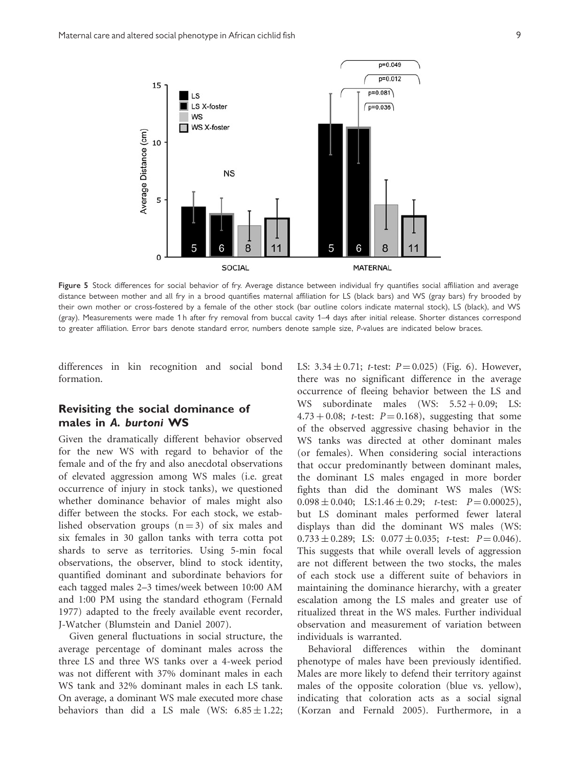

Figure 5 Stock differences for social behavior of fry. Average distance between individual fry quantifies social affiliation and average distance between mother and all fry in a brood quantifies maternal affiliation for LS (black bars) and WS (gray bars) fry brooded by their own mother or cross-fostered by a female of the other stock (bar outline colors indicate maternal stock), LS (black), and WS (gray). Measurements were made 1 h after fry removal from buccal cavity 1–4 days after initial release. Shorter distances correspond to greater affiliation. Error bars denote standard error, numbers denote sample size, P-values are indicated below braces.

differences in kin recognition and social bond formation.

## Revisiting the social dominance of males in A. burtoni WS

Given the dramatically different behavior observed for the new WS with regard to behavior of the female and of the fry and also anecdotal observations of elevated aggression among WS males (i.e. great occurrence of injury in stock tanks), we questioned whether dominance behavior of males might also differ between the stocks. For each stock, we established observation groups  $(n = 3)$  of six males and six females in 30 gallon tanks with terra cotta pot shards to serve as territories. Using 5-min focal observations, the observer, blind to stock identity, quantified dominant and subordinate behaviors for each tagged males 2–3 times/week between 10:00 AM and 1:00 PM using the standard ethogram (Fernald 1977) adapted to the freely available event recorder, J-Watcher (Blumstein and Daniel 2007).

Given general fluctuations in social structure, the average percentage of dominant males across the three LS and three WS tanks over a 4-week period was not different with 37% dominant males in each WS tank and 32% dominant males in each LS tank. On average, a dominant WS male executed more chase behaviors than did a LS male (WS:  $6.85 \pm 1.22$ ; LS:  $3.34 \pm 0.71$ ; *t*-test:  $P = 0.025$ ) (Fig. 6). However, there was no significant difference in the average occurrence of fleeing behavior between the LS and WS subordinate males (WS:  $5.52 + 0.09$ ; LS:  $4.73 + 0.08$ ; t-test:  $P = 0.168$ ), suggesting that some of the observed aggressive chasing behavior in the WS tanks was directed at other dominant males (or females). When considering social interactions that occur predominantly between dominant males, the dominant LS males engaged in more border fights than did the dominant WS males (WS:  $0.098 \pm 0.040$ ; LS:1.46  $\pm$  0.29; t-test:  $P = 0.00025$ ), but LS dominant males performed fewer lateral displays than did the dominant WS males (WS:  $0.733 \pm 0.289$ ; LS:  $0.077 \pm 0.035$ ; *t*-test:  $P = 0.046$ ). This suggests that while overall levels of aggression are not different between the two stocks, the males of each stock use a different suite of behaviors in maintaining the dominance hierarchy, with a greater escalation among the LS males and greater use of ritualized threat in the WS males. Further individual observation and measurement of variation between individuals is warranted.

Behavioral differences within the dominant phenotype of males have been previously identified. Males are more likely to defend their territory against males of the opposite coloration (blue vs. yellow), indicating that coloration acts as a social signal (Korzan and Fernald 2005). Furthermore, in a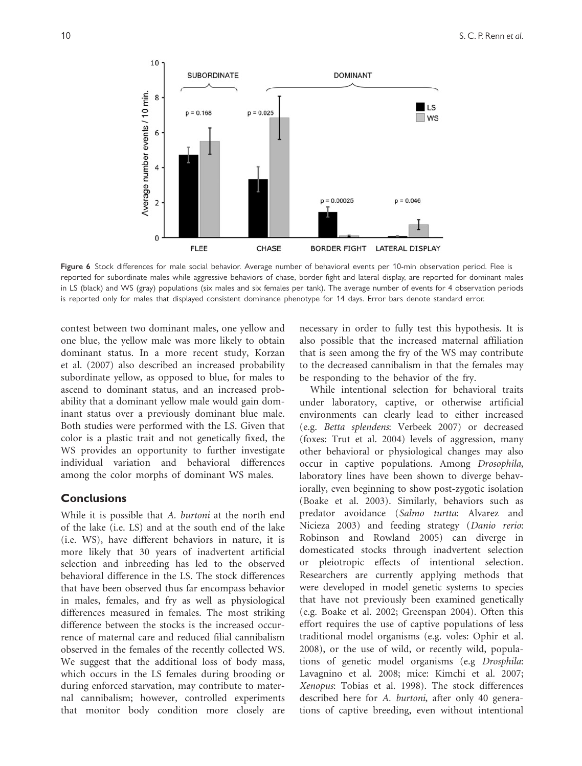

Figure 6 Stock differences for male social behavior. Average number of behavioral events per 10-min observation period. Flee is reported for subordinate males while aggressive behaviors of chase, border fight and lateral display, are reported for dominant males in LS (black) and WS (gray) populations (six males and six females per tank). The average number of events for 4 observation periods is reported only for males that displayed consistent dominance phenotype for 14 days. Error bars denote standard error.

contest between two dominant males, one yellow and one blue, the yellow male was more likely to obtain dominant status. In a more recent study, Korzan et al. (2007) also described an increased probability subordinate yellow, as opposed to blue, for males to ascend to dominant status, and an increased probability that a dominant yellow male would gain dominant status over a previously dominant blue male. Both studies were performed with the LS. Given that color is a plastic trait and not genetically fixed, the WS provides an opportunity to further investigate individual variation and behavioral differences among the color morphs of dominant WS males.

#### **Conclusions**

While it is possible that A. burtoni at the north end of the lake (i.e. LS) and at the south end of the lake (i.e. WS), have different behaviors in nature, it is more likely that 30 years of inadvertent artificial selection and inbreeding has led to the observed behavioral difference in the LS. The stock differences that have been observed thus far encompass behavior in males, females, and fry as well as physiological differences measured in females. The most striking difference between the stocks is the increased occurrence of maternal care and reduced filial cannibalism observed in the females of the recently collected WS. We suggest that the additional loss of body mass, which occurs in the LS females during brooding or during enforced starvation, may contribute to maternal cannibalism; however, controlled experiments that monitor body condition more closely are

necessary in order to fully test this hypothesis. It is also possible that the increased maternal affiliation that is seen among the fry of the WS may contribute to the decreased cannibalism in that the females may be responding to the behavior of the fry.

While intentional selection for behavioral traits under laboratory, captive, or otherwise artificial environments can clearly lead to either increased (e.g. Betta splendens: Verbeek 2007) or decreased (foxes: Trut et al. 2004) levels of aggression, many other behavioral or physiological changes may also occur in captive populations. Among Drosophila, laboratory lines have been shown to diverge behaviorally, even beginning to show post-zygotic isolation (Boake et al. 2003). Similarly, behaviors such as predator avoidance (Salmo turtta: Alvarez and Nicieza 2003) and feeding strategy (Danio rerio: Robinson and Rowland 2005) can diverge in domesticated stocks through inadvertent selection or pleiotropic effects of intentional selection. Researchers are currently applying methods that were developed in model genetic systems to species that have not previously been examined genetically (e.g. Boake et al. 2002; Greenspan 2004). Often this effort requires the use of captive populations of less traditional model organisms (e.g. voles: Ophir et al. 2008), or the use of wild, or recently wild, populations of genetic model organisms (e.g Drosphila: Lavagnino et al. 2008; mice: Kimchi et al. 2007; Xenopus: Tobias et al. 1998). The stock differences described here for A. burtoni, after only 40 generations of captive breeding, even without intentional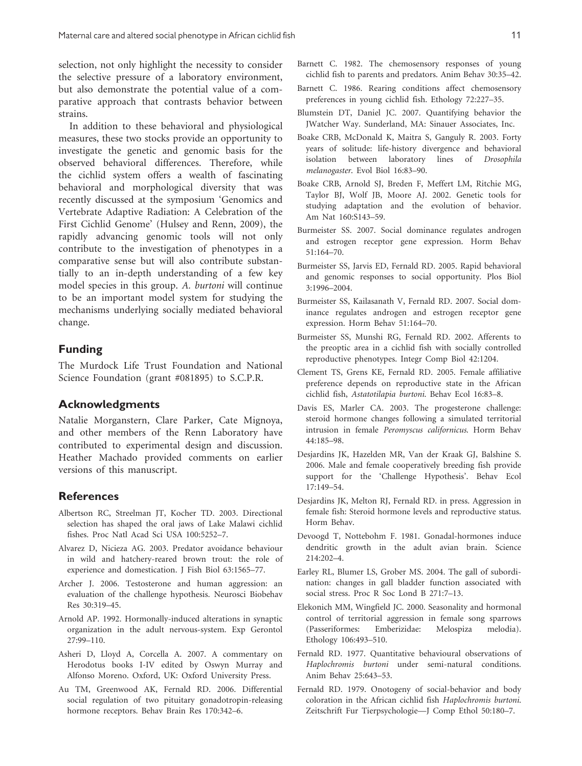selection, not only highlight the necessity to consider the selective pressure of a laboratory environment, but also demonstrate the potential value of a comparative approach that contrasts behavior between strains.

In addition to these behavioral and physiological measures, these two stocks provide an opportunity to investigate the genetic and genomic basis for the observed behavioral differences. Therefore, while the cichlid system offers a wealth of fascinating behavioral and morphological diversity that was recently discussed at the symposium 'Genomics and Vertebrate Adaptive Radiation: A Celebration of the First Cichlid Genome' (Hulsey and Renn, 2009), the rapidly advancing genomic tools will not only contribute to the investigation of phenotypes in a comparative sense but will also contribute substantially to an in-depth understanding of a few key model species in this group. A. burtoni will continue to be an important model system for studying the mechanisms underlying socially mediated behavioral change.

### Funding

The Murdock Life Trust Foundation and National Science Foundation (grant #081895) to S.C.P.R.

#### Acknowledgments

Natalie Morganstern, Clare Parker, Cate Mignoya, and other members of the Renn Laboratory have contributed to experimental design and discussion. Heather Machado provided comments on earlier versions of this manuscript.

### **References**

- Albertson RC, Streelman JT, Kocher TD. 2003. Directional selection has shaped the oral jaws of Lake Malawi cichlid fishes. Proc Natl Acad Sci USA 100:5252–7.
- Alvarez D, Nicieza AG. 2003. Predator avoidance behaviour in wild and hatchery-reared brown trout: the role of experience and domestication. J Fish Biol 63:1565–77.
- Archer J. 2006. Testosterone and human aggression: an evaluation of the challenge hypothesis. Neurosci Biobehav Res 30:319–45.
- Arnold AP. 1992. Hormonally-induced alterations in synaptic organization in the adult nervous-system. Exp Gerontol 27:99–110.
- Asheri D, Lloyd A, Corcella A. 2007. A commentary on Herodotus books I-IV edited by Oswyn Murray and Alfonso Moreno. Oxford, UK: Oxford University Press.
- Au TM, Greenwood AK, Fernald RD. 2006. Differential social regulation of two pituitary gonadotropin-releasing hormone receptors. Behav Brain Res 170:342–6.
- Barnett C. 1982. The chemosensory responses of young cichlid fish to parents and predators. Anim Behav 30:35–42.
- Barnett C. 1986. Rearing conditions affect chemosensory preferences in young cichlid fish. Ethology 72:227–35.
- Blumstein DT, Daniel JC. 2007. Quantifying behavior the JWatcher Way. Sunderland, MA: Sinauer Associates, Inc.
- Boake CRB, McDonald K, Maitra S, Ganguly R. 2003. Forty years of solitude: life-history divergence and behavioral isolation between laboratory lines of Drosophila melanogaster. Evol Biol 16:83–90.
- Boake CRB, Arnold SJ, Breden F, Meffert LM, Ritchie MG, Taylor BJ, Wolf JB, Moore AJ. 2002. Genetic tools for studying adaptation and the evolution of behavior. Am Nat 160:S143–59.
- Burmeister SS. 2007. Social dominance regulates androgen and estrogen receptor gene expression. Horm Behav 51:164–70.
- Burmeister SS, Jarvis ED, Fernald RD. 2005. Rapid behavioral and genomic responses to social opportunity. Plos Biol 3:1996–2004.
- Burmeister SS, Kailasanath V, Fernald RD. 2007. Social dominance regulates androgen and estrogen receptor gene expression. Horm Behav 51:164–70.
- Burmeister SS, Munshi RG, Fernald RD. 2002. Afferents to the preoptic area in a cichlid fish with socially controlled reproductive phenotypes. Integr Comp Biol 42:1204.
- Clement TS, Grens KE, Fernald RD. 2005. Female affiliative preference depends on reproductive state in the African cichlid fish, Astatotilapia burtoni. Behav Ecol 16:83–8.
- Davis ES, Marler CA. 2003. The progesterone challenge: steroid hormone changes following a simulated territorial intrusion in female Peromyscus californicus. Horm Behav 44:185–98.
- Desjardins JK, Hazelden MR, Van der Kraak GJ, Balshine S. 2006. Male and female cooperatively breeding fish provide support for the 'Challenge Hypothesis'. Behav Ecol 17:149–54.
- Desjardins JK, Melton RJ, Fernald RD. in press. Aggression in female fish: Steroid hormone levels and reproductive status. Horm Behav.
- Devoogd T, Nottebohm F. 1981. Gonadal-hormones induce dendritic growth in the adult avian brain. Science 214:202–4.
- Earley RL, Blumer LS, Grober MS. 2004. The gall of subordination: changes in gall bladder function associated with social stress. Proc R Soc Lond B 271:7–13.
- Elekonich MM, Wingfield JC. 2000. Seasonality and hormonal control of territorial aggression in female song sparrows (Passeriformes: Emberizidae: Melospiza melodia). Ethology 106:493–510.
- Fernald RD. 1977. Quantitative behavioural observations of Haplochromis burtoni under semi-natural conditions. Anim Behav 25:643–53.
- Fernald RD. 1979. Onotogeny of social-behavior and body coloration in the African cichlid fish Haplochromis burtoni. Zeitschrift Fur Tierpsychologie—J Comp Ethol 50:180–7.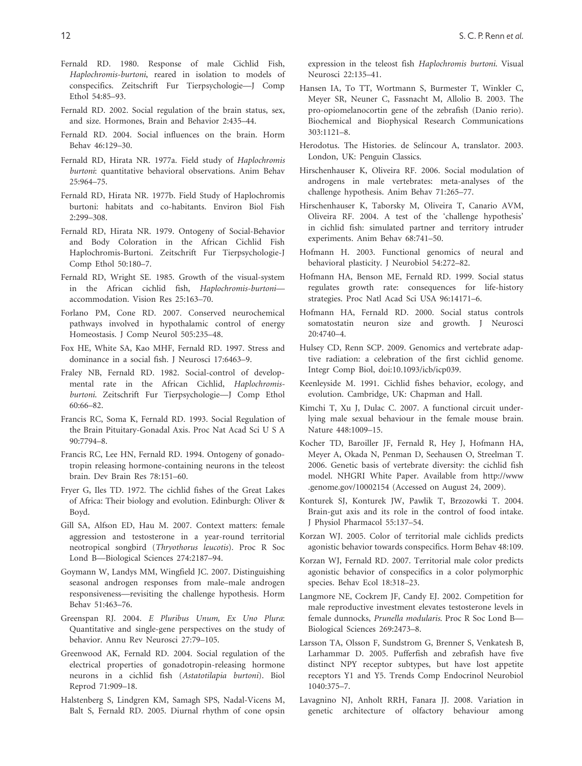- Fernald RD. 1980. Response of male Cichlid Fish, Haplochromis-burtoni, reared in isolation to models of conspecifics. Zeitschrift Fur Tierpsychologie—J Comp Ethol 54:85–93.
- Fernald RD. 2002. Social regulation of the brain status, sex, and size. Hormones, Brain and Behavior 2:435–44.
- Fernald RD. 2004. Social influences on the brain. Horm Behav 46:129–30.
- Fernald RD, Hirata NR. 1977a. Field study of Haplochromis burtoni: quantitative behavioral observations. Anim Behav 25:964–75.
- Fernald RD, Hirata NR. 1977b. Field Study of Haplochromis burtoni: habitats and co-habitants. Environ Biol Fish 2:299–308.
- Fernald RD, Hirata NR. 1979. Ontogeny of Social-Behavior and Body Coloration in the African Cichlid Fish Haplochromis-Burtoni. Zeitschrift Fur Tierpsychologie-J Comp Ethol 50:180–7.
- Fernald RD, Wright SE. 1985. Growth of the visual-system in the African cichlid fish, Haplochromis-burtoni accommodation. Vision Res 25:163–70.
- Forlano PM, Cone RD. 2007. Conserved neurochemical pathways involved in hypothalamic control of energy Homeostasis. J Comp Neurol 505:235–48.
- Fox HE, White SA, Kao MHF, Fernald RD. 1997. Stress and dominance in a social fish. J Neurosci 17:6463–9.
- Fraley NB, Fernald RD. 1982. Social-control of developmental rate in the African Cichlid, Haplochromisburtoni. Zeitschrift Fur Tierpsychologie—J Comp Ethol 60:66–82.
- Francis RC, Soma K, Fernald RD. 1993. Social Regulation of the Brain Pituitary-Gonadal Axis. Proc Nat Acad Sci U S A 90:7794–8.
- Francis RC, Lee HN, Fernald RD. 1994. Ontogeny of gonadotropin releasing hormone-containing neurons in the teleost brain. Dev Brain Res 78:151–60.
- Fryer G, Iles TD. 1972. The cichlid fishes of the Great Lakes of Africa: Their biology and evolution. Edinburgh: Oliver & Boyd.
- Gill SA, Alfson ED, Hau M. 2007. Context matters: female aggression and testosterone in a year-round territorial neotropical songbird (Thryothorus leucotis). Proc R Soc Lond B—Biological Sciences 274:2187–94.
- Goymann W, Landys MM, Wingfield JC. 2007. Distinguishing seasonal androgen responses from male–male androgen responsiveness—revisiting the challenge hypothesis. Horm Behav 51:463–76.
- Greenspan RJ. 2004. E Pluribus Unum, Ex Uno Plura: Quantitative and single-gene perspectives on the study of behavior. Annu Rev Neurosci 27:79–105.
- Greenwood AK, Fernald RD. 2004. Social regulation of the electrical properties of gonadotropin-releasing hormone neurons in a cichlid fish (Astatotilapia burtoni). Biol Reprod 71:909–18.
- Halstenberg S, Lindgren KM, Samagh SPS, Nadal-Vicens M, Balt S, Fernald RD. 2005. Diurnal rhythm of cone opsin

expression in the teleost fish Haplochromis burtoni. Visual Neurosci 22:135–41.

- Hansen IA, To TT, Wortmann S, Burmester T, Winkler C, Meyer SR, Neuner C, Fassnacht M, Allolio B. 2003. The pro-opiomelanocortin gene of the zebrafish (Danio rerio). Biochemical and Biophysical Research Communications 303:1121–8.
- Herodotus. The Histories. de Selíncour A, translator. 2003. London, UK: Penguin Classics.
- Hirschenhauser K, Oliveira RF. 2006. Social modulation of androgens in male vertebrates: meta-analyses of the challenge hypothesis. Anim Behav 71:265–77.
- Hirschenhauser K, Taborsky M, Oliveira T, Canario AVM, Oliveira RF. 2004. A test of the 'challenge hypothesis' in cichlid fish: simulated partner and territory intruder experiments. Anim Behav 68:741–50.
- Hofmann H. 2003. Functional genomics of neural and behavioral plasticity. J Neurobiol 54:272–82.
- Hofmann HA, Benson ME, Fernald RD. 1999. Social status regulates growth rate: consequences for life-history strategies. Proc Natl Acad Sci USA 96:14171–6.
- Hofmann HA, Fernald RD. 2000. Social status controls somatostatin neuron size and growth. J Neurosci 20:4740–4.
- Hulsey CD, Renn SCP. 2009. Genomics and vertebrate adaptive radiation: a celebration of the first cichlid genome. Integr Comp Biol, doi:10.1093/icb/icp039.
- Keenleyside M. 1991. Cichlid fishes behavior, ecology, and evolution. Cambridge, UK: Chapman and Hall.
- Kimchi T, Xu J, Dulac C. 2007. A functional circuit underlying male sexual behaviour in the female mouse brain. Nature 448:1009–15.
- Kocher TD, Baroiller JF, Fernald R, Hey J, Hofmann HA, Meyer A, Okada N, Penman D, Seehausen O, Streelman T. 2006. Genetic basis of vertebrate diversity: the cichlid fish model. NHGRI White Paper. Available from <http://www> .genome.gov/10002154 (Accessed on August 24, 2009).
- Konturek SJ, Konturek JW, Pawlik T, Brzozowki T. 2004. Brain-gut axis and its role in the control of food intake. J Physiol Pharmacol 55:137–54.
- Korzan WJ. 2005. Color of territorial male cichlids predicts agonistic behavior towards conspecifics. Horm Behav 48:109.
- Korzan WJ, Fernald RD. 2007. Territorial male color predicts agonistic behavior of conspecifics in a color polymorphic species. Behav Ecol 18:318–23.
- Langmore NE, Cockrem JF, Candy EJ. 2002. Competition for male reproductive investment elevates testosterone levels in female dunnocks, Prunella modularis. Proc R Soc Lond B-Biological Sciences 269:2473–8.
- Larsson TA, Olsson F, Sundstrom G, Brenner S, Venkatesh B, Larhammar D. 2005. Pufferfish and zebrafish have five distinct NPY receptor subtypes, but have lost appetite receptors Y1 and Y5. Trends Comp Endocrinol Neurobiol 1040:375–7.
- Lavagnino NJ, Anholt RRH, Fanara JJ. 2008. Variation in genetic architecture of olfactory behaviour among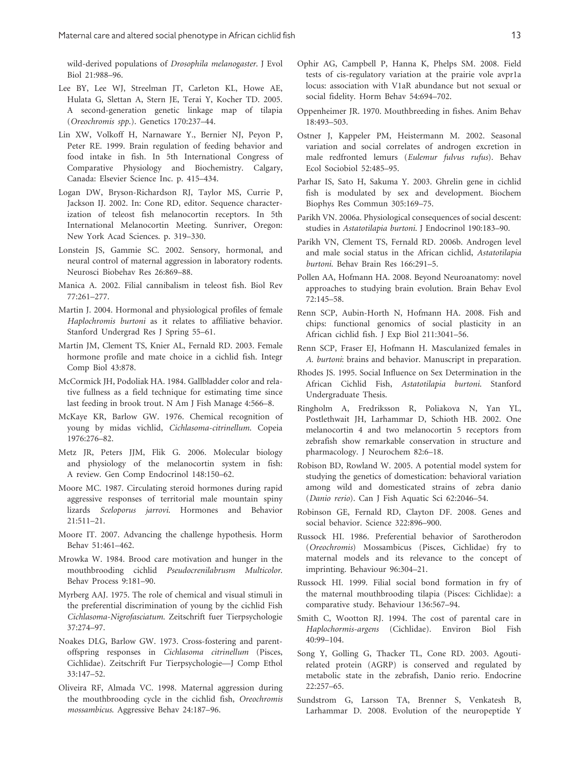wild-derived populations of Drosophila melanogaster. J Evol Biol 21:988–96.

- Lee BY, Lee WJ, Streelman JT, Carleton KL, Howe AE, Hulata G, Slettan A, Stern JE, Terai Y, Kocher TD. 2005. A second-generation genetic linkage map of tilapia (Oreochromis spp.). Genetics 170:237–44.
- Lin XW, Volkoff H, Narnaware Y., Bernier NJ, Peyon P, Peter RE. 1999. Brain regulation of feeding behavior and food intake in fish. In 5th International Congress of Comparative Physiology and Biochemistry. Calgary, Canada: Elsevier Science Inc. p. 415–434.
- Logan DW, Bryson-Richardson RJ, Taylor MS, Currie P, Jackson IJ. 2002. In: Cone RD, editor. Sequence characterization of teleost fish melanocortin receptors. In 5th International Melanocortin Meeting. Sunriver, Oregon: New York Acad Sciences. p. 319–330.
- Lonstein JS, Gammie SC. 2002. Sensory, hormonal, and neural control of maternal aggression in laboratory rodents. Neurosci Biobehav Res 26:869–88.
- Manica A. 2002. Filial cannibalism in teleost fish. Biol Rev 77:261–277.
- Martin J. 2004. Hormonal and physiological profiles of female Haplochromis burtoni as it relates to affiliative behavior. Stanford Undergrad Res J Spring 55–61.
- Martin JM, Clement TS, Knier AL, Fernald RD. 2003. Female hormone profile and mate choice in a cichlid fish. Integr Comp Biol 43:878.
- McCormick JH, Podoliak HA. 1984. Gallbladder color and relative fullness as a field technique for estimating time since last feeding in brook trout. N Am J Fish Manage 4:566–8.
- McKaye KR, Barlow GW. 1976. Chemical recognition of young by midas vichlid, Cichlasoma-citrinellum. Copeia 1976:276–82.
- Metz JR, Peters JJM, Flik G. 2006. Molecular biology and physiology of the melanocortin system in fish: A review. Gen Comp Endocrinol 148:150–62.
- Moore MC. 1987. Circulating steroid hormones during rapid aggressive responses of territorial male mountain spiny lizards Sceloporus jarrovi. Hormones and Behavior 21:511–21.
- Moore IT. 2007. Advancing the challenge hypothesis. Horm Behav 51:461–462.
- Mrowka W. 1984. Brood care motivation and hunger in the mouthbrooding cichlid Pseudocrenilabrusm Multicolor. Behav Process 9:181–90.
- Myrberg AAJ. 1975. The role of chemical and visual stimuli in the preferential discrimination of young by the cichlid Fish Cichlasoma-Nigrofasciatum. Zeitschrift fuer Tierpsychologie 37:274–97.
- Noakes DLG, Barlow GW. 1973. Cross-fostering and parentoffspring responses in Cichlasoma citrinellum (Pisces, Cichlidae). Zeitschrift Fur Tierpsychologie—J Comp Ethol 33:147–52.
- Oliveira RF, Almada VC. 1998. Maternal aggression during the mouthbrooding cycle in the cichlid fish, Oreochromis mossambicus. Aggressive Behav 24:187–96.
- Ophir AG, Campbell P, Hanna K, Phelps SM. 2008. Field tests of cis-regulatory variation at the prairie vole avpr1a locus: association with V1aR abundance but not sexual or social fidelity. Horm Behav 54:694–702.
- Oppenheimer JR. 1970. Mouthbreeding in fishes. Anim Behav 18:493–503.
- Ostner J, Kappeler PM, Heistermann M. 2002. Seasonal variation and social correlates of androgen excretion in male redfronted lemurs (Eulemur fulvus rufus). Behav Ecol Sociobiol 52:485–95.
- Parhar IS, Sato H, Sakuma Y. 2003. Ghrelin gene in cichlid fish is modulated by sex and development. Biochem Biophys Res Commun 305:169–75.
- Parikh VN. 2006a. Physiological consequences of social descent: studies in Astatotilapia burtoni. J Endocrinol 190:183–90.
- Parikh VN, Clement TS, Fernald RD. 2006b. Androgen level and male social status in the African cichlid, Astatotilapia burtoni. Behav Brain Res 166:291–5.
- Pollen AA, Hofmann HA. 2008. Beyond Neuroanatomy: novel approaches to studying brain evolution. Brain Behav Evol 72:145–58.
- Renn SCP, Aubin-Horth N, Hofmann HA. 2008. Fish and chips: functional genomics of social plasticity in an African cichlid fish. J Exp Biol 211:3041–56.
- Renn SCP, Fraser EJ, Hofmann H. Masculanized females in A. burtoni: brains and behavior. Manuscript in preparation.
- Rhodes JS. 1995. Social Influence on Sex Determination in the African Cichlid Fish, Astatotilapia burtoni. Stanford Undergraduate Thesis.
- Ringholm A, Fredriksson R, Poliakova N, Yan YL, Postlethwait JH, Larhammar D, Schioth HB. 2002. One melanocortin 4 and two melanocortin 5 receptors from zebrafish show remarkable conservation in structure and pharmacology. J Neurochem 82:6–18.
- Robison BD, Rowland W. 2005. A potential model system for studying the genetics of domestication: behavioral variation among wild and domesticated strains of zebra danio (Danio rerio). Can J Fish Aquatic Sci 62:2046–54.
- Robinson GE, Fernald RD, Clayton DF. 2008. Genes and social behavior. Science 322:896–900.
- Russock HI. 1986. Preferential behavior of Sarotherodon (Oreochromis) Mossambicus (Pisces, Cichlidae) fry to maternal models and its relevance to the concept of imprinting. Behaviour 96:304–21.
- Russock HI. 1999. Filial social bond formation in fry of the maternal mouthbrooding tilapia (Pisces: Cichlidae): a comparative study. Behaviour 136:567–94.
- Smith C, Wootton RJ. 1994. The cost of parental care in Haplochormis-argens (Cichlidae). Environ Biol Fish 40:99–104.
- Song Y, Golling G, Thacker TL, Cone RD. 2003. Agoutirelated protein (AGRP) is conserved and regulated by metabolic state in the zebrafish, Danio rerio. Endocrine 22:257–65.
- Sundstrom G, Larsson TA, Brenner S, Venkatesh B, Larhammar D. 2008. Evolution of the neuropeptide Y